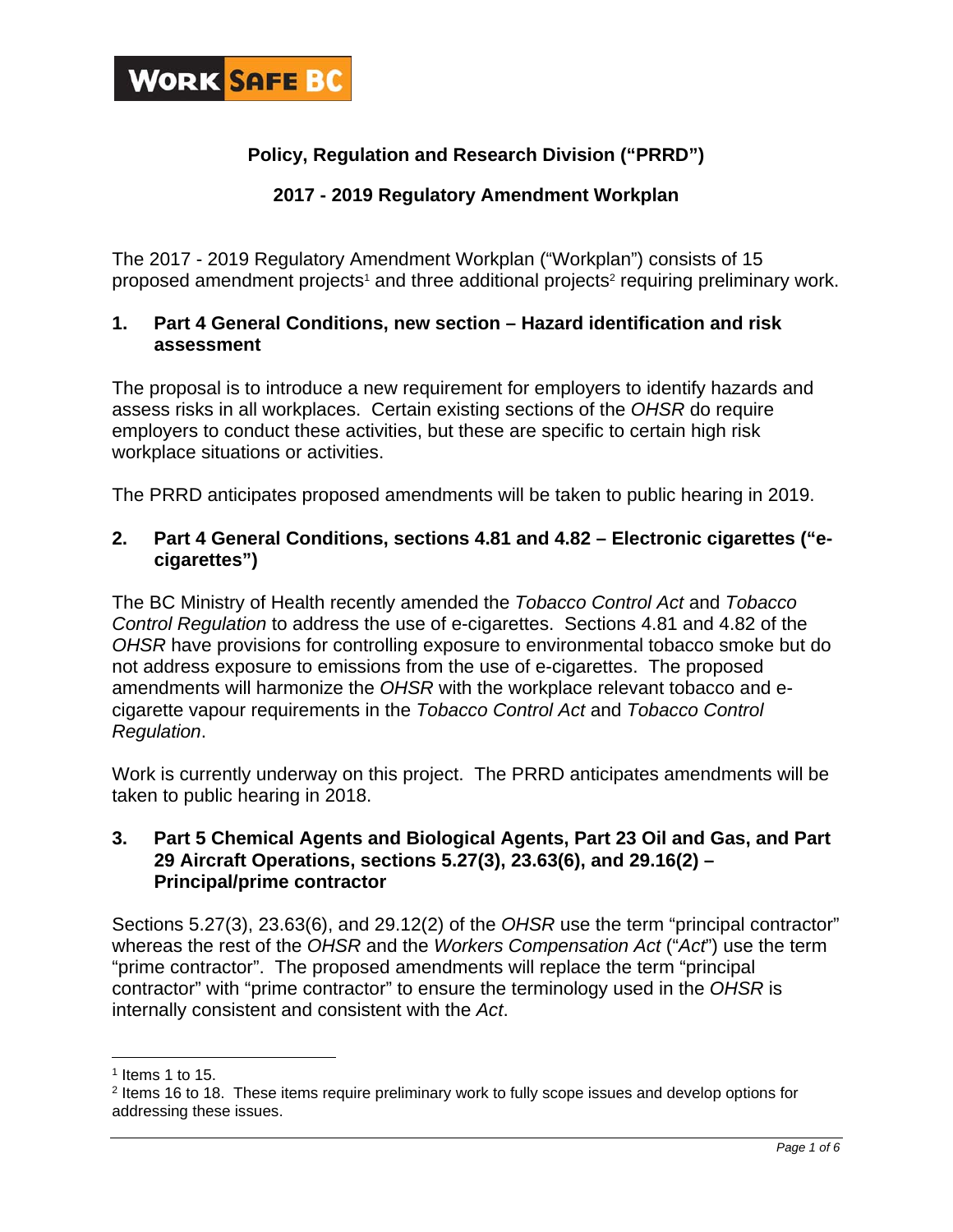

## **Policy, Regulation and Research Division ("PRRD")**

## **2017 - 2019 Regulatory Amendment Workplan**

The 2017 - 2019 Regulatory Amendment Workplan ("Workplan") consists of 15 proposed amendment projects<sup>1</sup> and three additional projects<sup>2</sup> requiring preliminary work.

## **1. Part 4 General Conditions, new section – Hazard identification and risk assessment**

The proposal is to introduce a new requirement for employers to identify hazards and assess risks in all workplaces. Certain existing sections of the *OHSR* do require employers to conduct these activities, but these are specific to certain high risk workplace situations or activities.

The PRRD anticipates proposed amendments will be taken to public hearing in 2019.

## **2. Part 4 General Conditions, sections 4.81 and 4.82 – Electronic cigarettes ("ecigarettes")**

The BC Ministry of Health recently amended the *Tobacco Control Act* and *Tobacco Control Regulation* to address the use of e-cigarettes. Sections 4.81 and 4.82 of the *OHSR* have provisions for controlling exposure to environmental tobacco smoke but do not address exposure to emissions from the use of e-cigarettes. The proposed amendments will harmonize the *OHSR* with the workplace relevant tobacco and ecigarette vapour requirements in the *Tobacco Control Act* and *Tobacco Control Regulation*.

Work is currently underway on this project. The PRRD anticipates amendments will be taken to public hearing in 2018.

## **3. Part 5 Chemical Agents and Biological Agents, Part 23 Oil and Gas, and Part 29 Aircraft Operations, sections 5.27(3), 23.63(6), and 29.16(2) – Principal/prime contractor**

Sections 5.27(3), 23.63(6), and 29.12(2) of the *OHSR* use the term "principal contractor" whereas the rest of the *OHSR* and the *Workers Compensation Act* ("*Act*") use the term "prime contractor". The proposed amendments will replace the term "principal contractor" with "prime contractor" to ensure the terminology used in the *OHSR* is internally consistent and consistent with the *Act*.

 $\overline{a}$ 

 $<sup>1</sup>$  Items 1 to 15.</sup>

<sup>2</sup> Items 16 to 18. These items require preliminary work to fully scope issues and develop options for addressing these issues.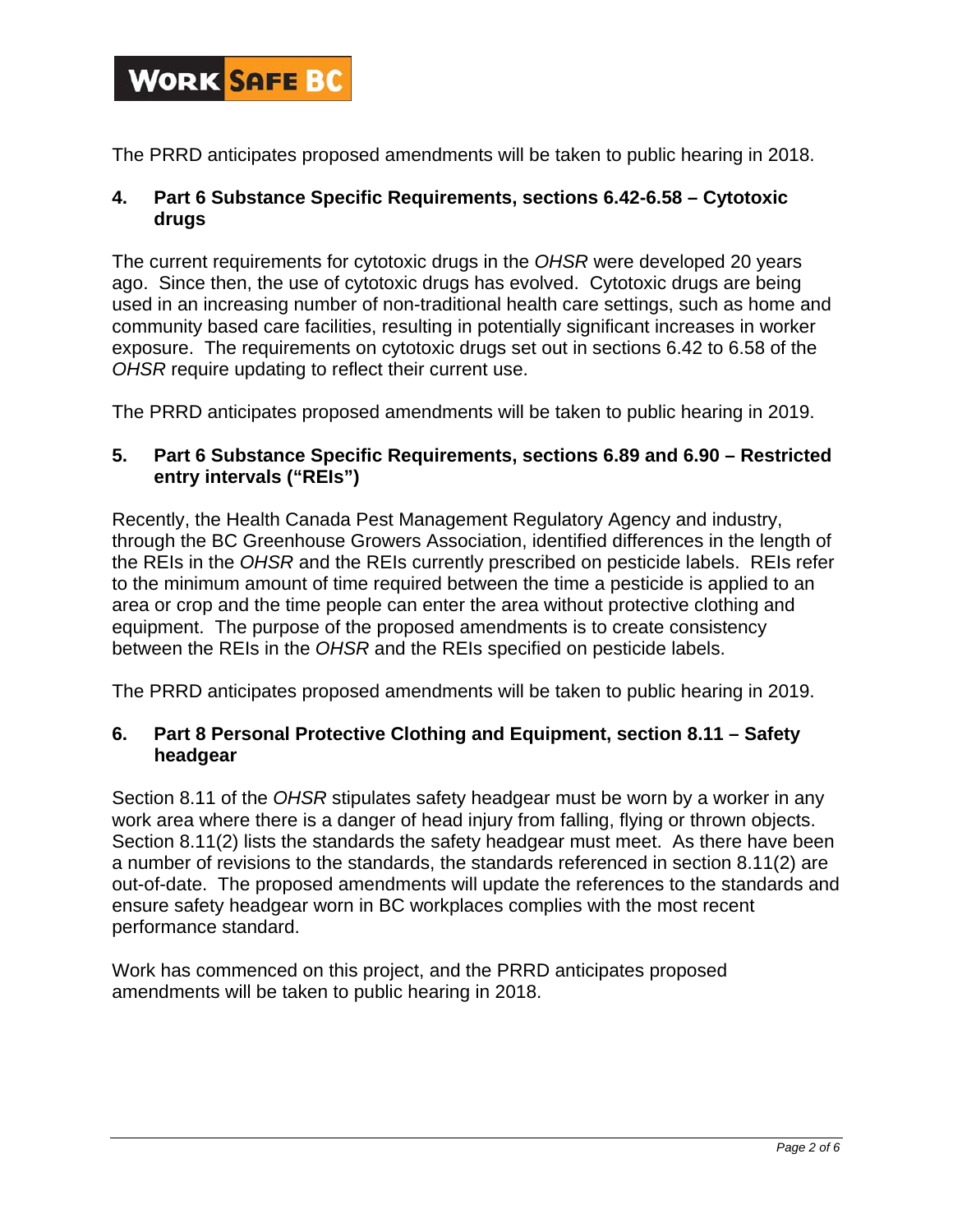

The PRRD anticipates proposed amendments will be taken to public hearing in 2018.

## **4. Part 6 Substance Specific Requirements, sections 6.42-6.58 – Cytotoxic drugs**

The current requirements for cytotoxic drugs in the *OHSR* were developed 20 years ago. Since then, the use of cytotoxic drugs has evolved. Cytotoxic drugs are being used in an increasing number of non-traditional health care settings, such as home and community based care facilities, resulting in potentially significant increases in worker exposure. The requirements on cytotoxic drugs set out in sections 6.42 to 6.58 of the *OHSR* require updating to reflect their current use.

The PRRD anticipates proposed amendments will be taken to public hearing in 2019.

### **5. Part 6 Substance Specific Requirements, sections 6.89 and 6.90 – Restricted entry intervals ("REIs")**

Recently, the Health Canada Pest Management Regulatory Agency and industry, through the BC Greenhouse Growers Association, identified differences in the length of the REIs in the *OHSR* and the REIs currently prescribed on pesticide labels. REIs refer to the minimum amount of time required between the time a pesticide is applied to an area or crop and the time people can enter the area without protective clothing and equipment. The purpose of the proposed amendments is to create consistency between the REIs in the *OHSR* and the REIs specified on pesticide labels.

The PRRD anticipates proposed amendments will be taken to public hearing in 2019.

## **6. Part 8 Personal Protective Clothing and Equipment, section 8.11 – Safety headgear**

Section 8.11 of the *OHSR* stipulates safety headgear must be worn by a worker in any work area where there is a danger of head injury from falling, flying or thrown objects. Section 8.11(2) lists the standards the safety headgear must meet. As there have been a number of revisions to the standards, the standards referenced in section 8.11(2) are out-of-date. The proposed amendments will update the references to the standards and ensure safety headgear worn in BC workplaces complies with the most recent performance standard.

Work has commenced on this project, and the PRRD anticipates proposed amendments will be taken to public hearing in 2018.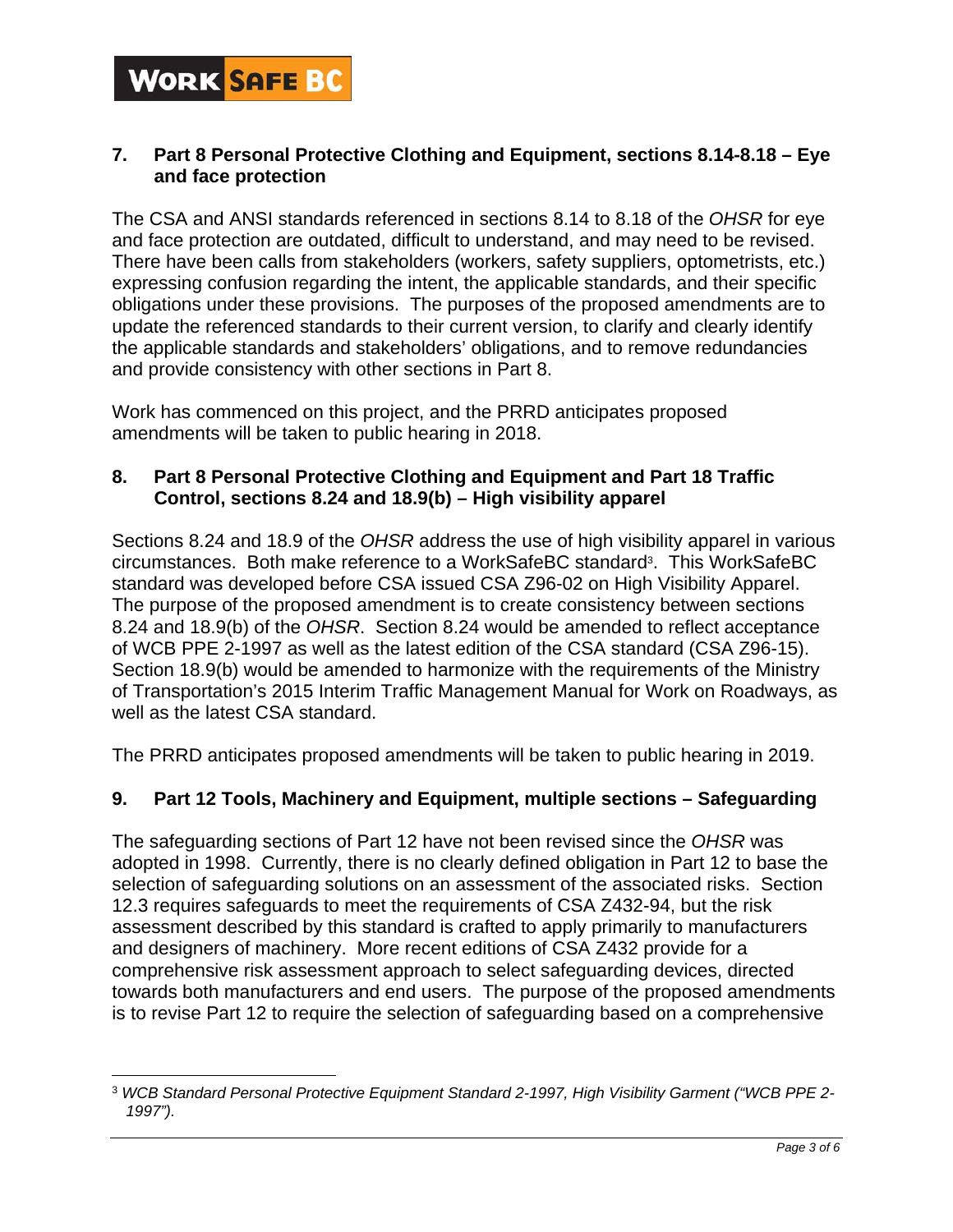

 $\overline{a}$ 

## **7. Part 8 Personal Protective Clothing and Equipment, sections 8.14-8.18 – Eye and face protection**

The CSA and ANSI standards referenced in sections 8.14 to 8.18 of the *OHSR* for eye and face protection are outdated, difficult to understand, and may need to be revised. There have been calls from stakeholders (workers, safety suppliers, optometrists, etc.) expressing confusion regarding the intent, the applicable standards, and their specific obligations under these provisions. The purposes of the proposed amendments are to update the referenced standards to their current version, to clarify and clearly identify the applicable standards and stakeholders' obligations, and to remove redundancies and provide consistency with other sections in Part 8.

Work has commenced on this project, and the PRRD anticipates proposed amendments will be taken to public hearing in 2018.

## **8. Part 8 Personal Protective Clothing and Equipment and Part 18 Traffic Control, sections 8.24 and 18.9(b) – High visibility apparel**

Sections 8.24 and 18.9 of the *OHSR* address the use of high visibility apparel in various circumstances. Both make reference to a WorkSafeBC standard<sup>3</sup>. This WorkSafeBC standard was developed before CSA issued CSA Z96-02 on High Visibility Apparel. The purpose of the proposed amendment is to create consistency between sections 8.24 and 18.9(b) of the *OHSR*. Section 8.24 would be amended to reflect acceptance of WCB PPE 2-1997 as well as the latest edition of the CSA standard (CSA Z96-15). Section 18.9(b) would be amended to harmonize with the requirements of the Ministry of Transportation's 2015 Interim Traffic Management Manual for Work on Roadways, as well as the latest CSA standard.

The PRRD anticipates proposed amendments will be taken to public hearing in 2019.

## **9. Part 12 Tools, Machinery and Equipment, multiple sections – Safeguarding**

The safeguarding sections of Part 12 have not been revised since the *OHSR* was adopted in 1998. Currently, there is no clearly defined obligation in Part 12 to base the selection of safeguarding solutions on an assessment of the associated risks. Section 12.3 requires safeguards to meet the requirements of CSA Z432-94, but the risk assessment described by this standard is crafted to apply primarily to manufacturers and designers of machinery. More recent editions of CSA Z432 provide for a comprehensive risk assessment approach to select safeguarding devices, directed towards both manufacturers and end users. The purpose of the proposed amendments is to revise Part 12 to require the selection of safeguarding based on a comprehensive

<sup>3</sup> *WCB Standard Personal Protective Equipment Standard 2-1997, High Visibility Garment ("WCB PPE 2- 1997").*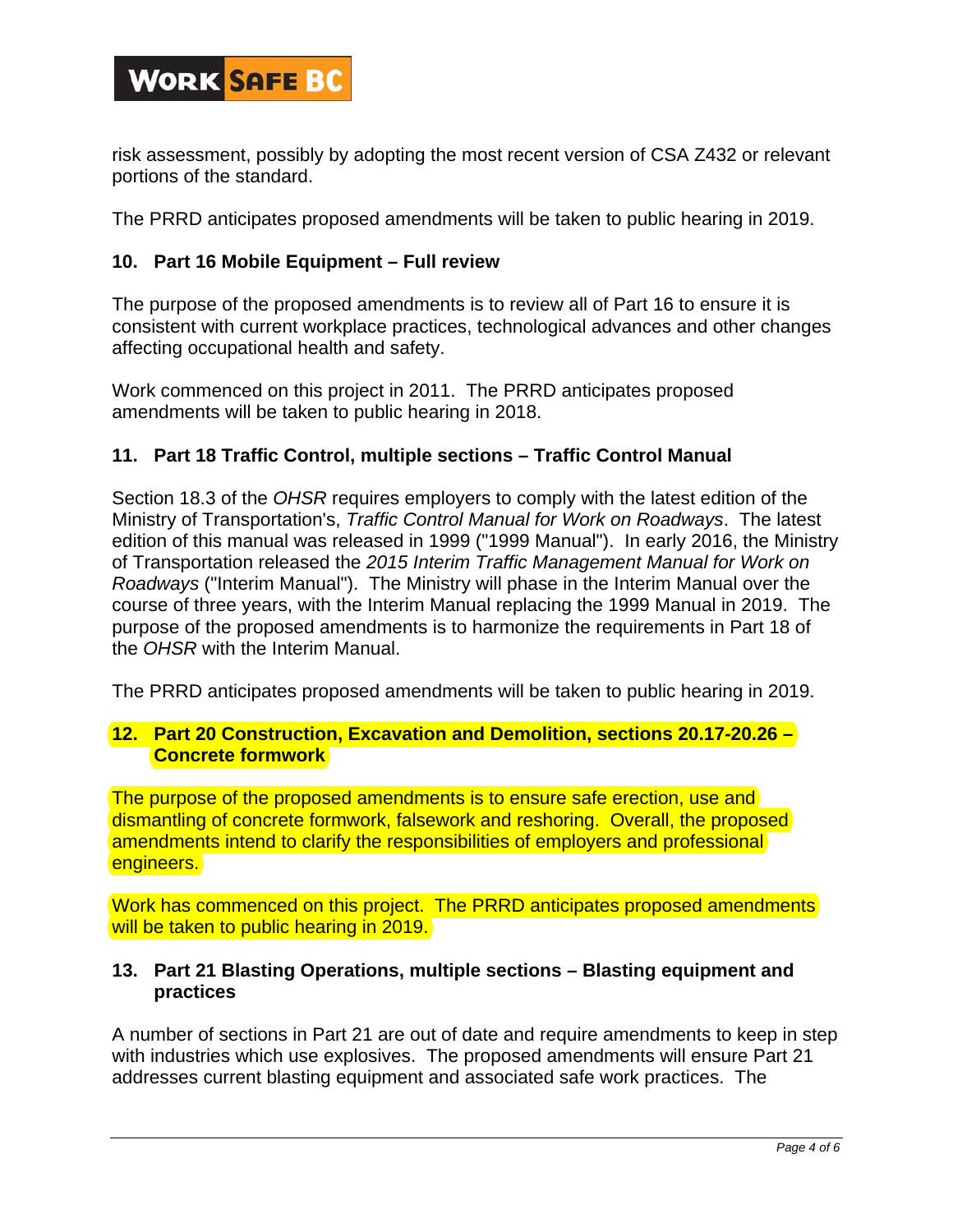

risk assessment, possibly by adopting the most recent version of CSA Z432 or relevant portions of the standard.

The PRRD anticipates proposed amendments will be taken to public hearing in 2019.

### **10. Part 16 Mobile Equipment – Full review**

The purpose of the proposed amendments is to review all of Part 16 to ensure it is consistent with current workplace practices, technological advances and other changes affecting occupational health and safety.

Work commenced on this project in 2011. The PRRD anticipates proposed amendments will be taken to public hearing in 2018.

#### **11. Part 18 Traffic Control, multiple sections – Traffic Control Manual**

Section 18.3 of the *OHSR* requires employers to comply with the latest edition of the Ministry of Transportation's, *Traffic Control Manual for Work on Roadways*. The latest edition of this manual was released in 1999 ("1999 Manual"). In early 2016, the Ministry of Transportation released the *2015 Interim Traffic Management Manual for Work on Roadways* ("Interim Manual"). The Ministry will phase in the Interim Manual over the course of three years, with the Interim Manual replacing the 1999 Manual in 2019. The purpose of the proposed amendments is to harmonize the requirements in Part 18 of the *OHSR* with the Interim Manual.

The PRRD anticipates proposed amendments will be taken to public hearing in 2019.

#### **12. Part 20 Construction, Excavation and Demolition, sections 20.17-20.26 – Concrete formwork**

The purpose of the proposed amendments is to ensure safe erection, use and dismantling of concrete formwork, falsework and reshoring. Overall, the proposed amendments intend to clarify the responsibilities of employers and professional engineers.

Work has commenced on this project. The PRRD anticipates proposed amendments will be taken to public hearing in 2019.

#### **13. Part 21 Blasting Operations, multiple sections – Blasting equipment and practices**

A number of sections in Part 21 are out of date and require amendments to keep in step with industries which use explosives. The proposed amendments will ensure Part 21 addresses current blasting equipment and associated safe work practices. The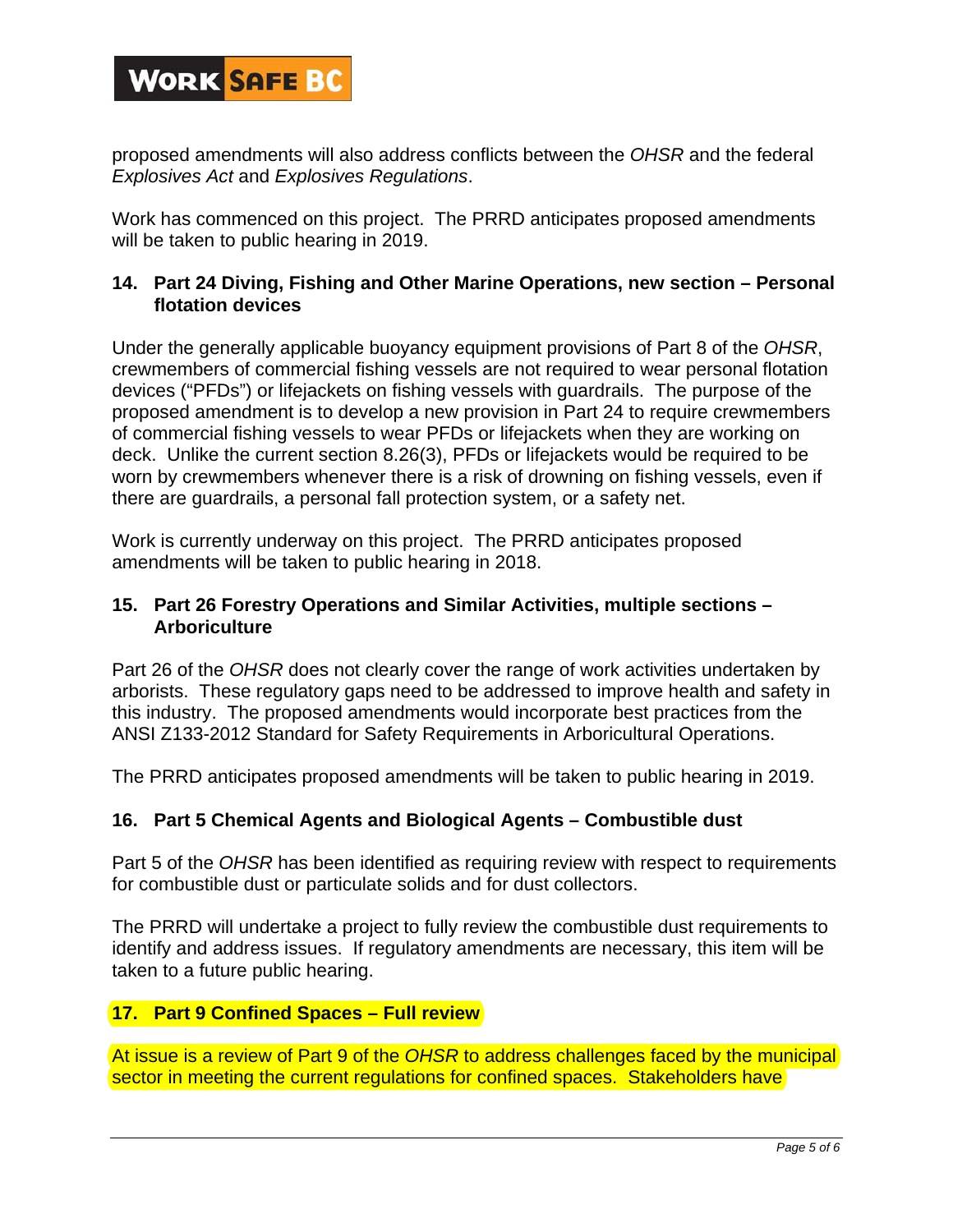# **WORK SAFE BC**

proposed amendments will also address conflicts between the *OHSR* and the federal *Explosives Act* and *Explosives Regulations*.

Work has commenced on this project. The PRRD anticipates proposed amendments will be taken to public hearing in 2019.

## **14. Part 24 Diving, Fishing and Other Marine Operations, new section – Personal flotation devices**

Under the generally applicable buoyancy equipment provisions of Part 8 of the *OHSR*, crewmembers of commercial fishing vessels are not required to wear personal flotation devices ("PFDs") or lifejackets on fishing vessels with guardrails. The purpose of the proposed amendment is to develop a new provision in Part 24 to require crewmembers of commercial fishing vessels to wear PFDs or lifejackets when they are working on deck. Unlike the current section 8.26(3), PFDs or lifejackets would be required to be worn by crewmembers whenever there is a risk of drowning on fishing vessels, even if there are guardrails, a personal fall protection system, or a safety net.

Work is currently underway on this project. The PRRD anticipates proposed amendments will be taken to public hearing in 2018.

## **15. Part 26 Forestry Operations and Similar Activities, multiple sections – Arboriculture**

Part 26 of the *OHSR* does not clearly cover the range of work activities undertaken by arborists. These regulatory gaps need to be addressed to improve health and safety in this industry. The proposed amendments would incorporate best practices from the ANSI Z133-2012 Standard for Safety Requirements in Arboricultural Operations.

The PRRD anticipates proposed amendments will be taken to public hearing in 2019.

## **16. Part 5 Chemical Agents and Biological Agents – Combustible dust**

Part 5 of the *OHSR* has been identified as requiring review with respect to requirements for combustible dust or particulate solids and for dust collectors.

The PRRD will undertake a project to fully review the combustible dust requirements to identify and address issues. If regulatory amendments are necessary, this item will be taken to a future public hearing.

## **17. Part 9 Confined Spaces – Full review**

At issue is a review of Part 9 of the *OHSR* to address challenges faced by the municipal sector in meeting the current regulations for confined spaces. Stakeholders have